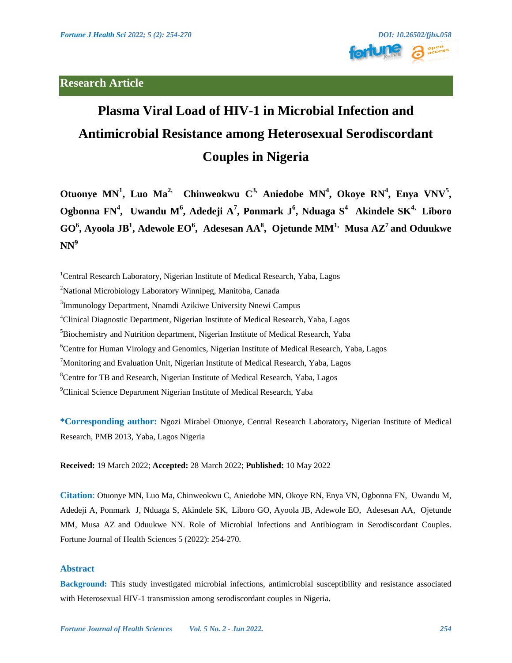# **Research Article**



# **Plasma Viral Load of HIV-1 in Microbial Infection and Antimicrobial Resistance among Heterosexual Serodiscordant Couples in Nigeria**

**Otuonye MN<sup>1</sup> , Luo Ma2, Chinweokwu C3, Aniedobe MN<sup>4</sup> , Okoye RN<sup>4</sup> , Enya VNV<sup>5</sup> , Ogbonna FN<sup>4</sup> , Uwandu M<sup>6</sup> , Adedeji A 7 , Ponmark J 6 , Nduaga S<sup>4</sup> Akindele SK4, Liboro GO<sup>6</sup> , Ayoola JB<sup>1</sup> , Adewole EO<sup>6</sup> , Adesesan AA<sup>8</sup> , Ojetunde MM1, Musa AZ<sup>7</sup>and Oduukwe NN<sup>9</sup>**

<sup>1</sup>Central Research Laboratory, Nigerian Institute of Medical Research, Yaba, Lagos <sup>2</sup>National Microbiology Laboratory Winnipeg, Manitoba, Canada <sup>3</sup>Immunology Department, Nnamdi Azikiwe University Nnewi Campus <sup>4</sup>Clinical Diagnostic Department, Nigerian Institute of Medical Research, Yaba, Lagos <sup>5</sup>Biochemistry and Nutrition department, Nigerian Institute of Medical Research, Yaba <sup>6</sup>Centre for Human Virology and Genomics, Nigerian Institute of Medical Research, Yaba, Lagos  $7$ Monitoring and Evaluation Unit, Nigerian Institute of Medical Research, Yaba, Lagos <sup>8</sup>Centre for TB and Research, Nigerian Institute of Medical Research, Yaba, Lagos <sup>9</sup>Clinical Science Department Nigerian Institute of Medical Research, Yaba

**\*Corresponding author:** Ngozi Mirabel Otuonye, Central Research Laboratory**,** Nigerian Institute of Medical Research, PMB 2013, Yaba, Lagos Nigeria

**Received:** 19 March 2022; **Accepted:** 28 March 2022; **Published:** 10 May 2022

**Citation**: Otuonye MN, Luo Ma, Chinweokwu C, Aniedobe MN, Okoye RN, Enya VN, Ogbonna FN, Uwandu M, Adedeji A, Ponmark J, Nduaga S, Akindele SK, Liboro GO, Ayoola JB, Adewole EO, Adesesan AA, Ojetunde MM, Musa AZ and Oduukwe NN. Role of Microbial Infections and Antibiogram in Serodiscordant Couples. Fortune Journal of Health Sciences 5 (2022): 254-270.

# **Abstract**

**Background:** This study investigated microbial infections, antimicrobial susceptibility and resistance associated with Heterosexual HIV-1 transmission among serodiscordant couples in Nigeria.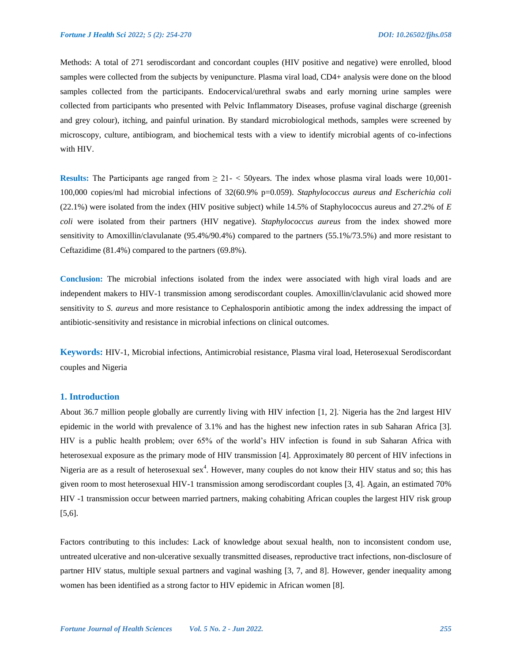Methods: A total of 271 serodiscordant and concordant couples (HIV positive and negative) were enrolled, blood samples were collected from the subjects by venipuncture. Plasma viral load, CD4+ analysis were done on the blood samples collected from the participants. Endocervical/urethral swabs and early morning urine samples were collected from participants who presented with Pelvic Inflammatory Diseases, profuse vaginal discharge (greenish and grey colour), itching, and painful urination. By standard microbiological methods, samples were screened by microscopy, culture, antibiogram, and biochemical tests with a view to identify microbial agents of co-infections with HIV.

**Results:** The Participants age ranged from  $\geq 21 - \leq 50$  years. The index whose plasma viral loads were 10,001-100,000 copies/ml had microbial infections of 32(60.9% p=0.059). *Staphylococcus aureus and Escherichia coli*  (22.1%) were isolated from the index (HIV positive subject) while 14.5% of Staphylococcus aureus and 27.2% of *E coli* were isolated from their partners (HIV negative). *Staphylococcus aureus* from the index showed more sensitivity to Amoxillin/clavulanate (95.4%/90.4%) compared to the partners (55.1%/73.5%) and more resistant to Ceftazidime (81.4%) compared to the partners (69.8%).

**Conclusion:** The microbial infections isolated from the index were associated with high viral loads and are independent makers to HIV-1 transmission among serodiscordant couples. Amoxillin/clavulanic acid showed more sensitivity to *S. aureus* and more resistance to Cephalosporin antibiotic among the index addressing the impact of antibiotic-sensitivity and resistance in microbial infections on clinical outcomes.

**Keywords:** HIV-1, Microbial infections, Antimicrobial resistance, Plasma viral load, Heterosexual Serodiscordant couples and Nigeria

#### **1. Introduction**

About 36.7 million people globally are currently living with HIV infection [1, 2].. Nigeria has the 2nd largest HIV epidemic in the world with prevalence of 3.1% and has the highest new infection rates in sub Saharan Africa [3]. HIV is a public health problem; over 65% of the world's HIV infection is found in sub Saharan Africa with heterosexual exposure as the primary mode of HIV transmission [4]. Approximately 80 percent of HIV infections in Nigeria are as a result of heterosexual sex<sup>4</sup>. However, many couples do not know their HIV status and so; this has given room to most heterosexual HIV-1 transmission among serodiscordant couples [3, 4]. Again, an estimated 70% HIV -1 transmission occur between married partners, making cohabiting African couples the largest HIV risk group [5,6].

Factors contributing to this includes: Lack of knowledge about sexual health, non to inconsistent condom use, untreated ulcerative and non-ulcerative sexually transmitted diseases, reproductive tract infections, non-disclosure of partner HIV status, multiple sexual partners and vaginal washing [3, 7, and 8]. However, gender inequality among women has been identified as a strong factor to HIV epidemic in African women [8].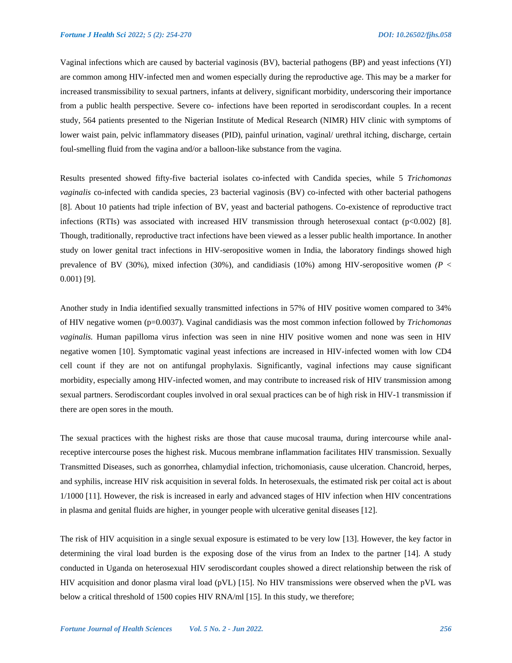Vaginal infections which are caused by bacterial vaginosis (BV), bacterial pathogens (BP) and yeast infections (YI) are common among HIV-infected men and women especially during the reproductive age. This may be a marker for increased transmissibility to sexual partners, infants at delivery, significant morbidity, underscoring their importance from a public health perspective. Severe co- infections have been reported in serodiscordant couples. In a recent study, 564 patients presented to the Nigerian Institute of Medical Research (NIMR) HIV clinic with symptoms of lower waist pain, pelvic inflammatory diseases (PID), painful urination, vaginal/ urethral itching, discharge, certain foul-smelling fluid from the vagina and/or a balloon-like substance from the vagina.

Results presented showed fifty-five bacterial isolates co-infected with Candida species, while 5 *Trichomonas vaginalis* co-infected with candida species, 23 bacterial vaginosis (BV) co-infected with other bacterial pathogens [8]. About 10 patients had triple infection of BV, yeast and bacterial pathogens. Co-existence of reproductive tract infections (RTIs) was associated with increased HIV transmission through heterosexual contact (p<0.002) [8]. Though, traditionally, reproductive tract infections have been viewed as a lesser public health importance. In another study on lower genital tract infections in HIV-seropositive women in India, the laboratory findings showed high prevalence of BV (30%), mixed infection (30%), and candidiasis (10%) among HIV-seropositive women  $(P \leq$ 0.001) [9].

Another study in India identified sexually transmitted infections in 57% of HIV positive women compared to 34% of HIV negative women (p=0.0037). Vaginal candidiasis was the most common infection followed by *Trichomonas vaginalis.* Human papilloma virus infection was seen in nine HIV positive women and none was seen in HIV negative women [10]. Symptomatic vaginal yeast infections are increased in HIV-infected women with low CD4 cell count if they are not on antifungal prophylaxis. Significantly, vaginal infections may cause significant morbidity, especially among HIV-infected women, and may contribute to increased risk of HIV transmission among sexual partners. Serodiscordant couples involved in oral sexual practices can be of high risk in HIV-1 transmission if there are open sores in the mouth.

The sexual practices with the highest risks are those that cause mucosal trauma, during intercourse while analreceptive intercourse poses the highest risk. Mucous membrane inflammation facilitates HIV transmission. Sexually Transmitted Diseases, such as gonorrhea, chlamydial infection, trichomoniasis, cause ulceration. Chancroid, herpes, and syphilis, increase HIV risk acquisition in several folds. In heterosexuals, the estimated risk per coital act is about 1/1000 [11]. However, the risk is increased in early and advanced stages of HIV infection when HIV concentrations in plasma and genital fluids are higher, in younger people with ulcerative genital diseases [12].

The risk of HIV acquisition in a single sexual exposure is estimated to be very low [13]. However, the key factor in determining the viral load burden is the exposing dose of the virus from an Index to the partner [14]. A study conducted in Uganda on heterosexual HIV serodiscordant couples showed a direct relationship between the risk of HIV acquisition and donor plasma viral load (pVL) [15]. No HIV transmissions were observed when the pVL was below a critical threshold of 1500 copies HIV RNA/ml [15]. In this study, we therefore;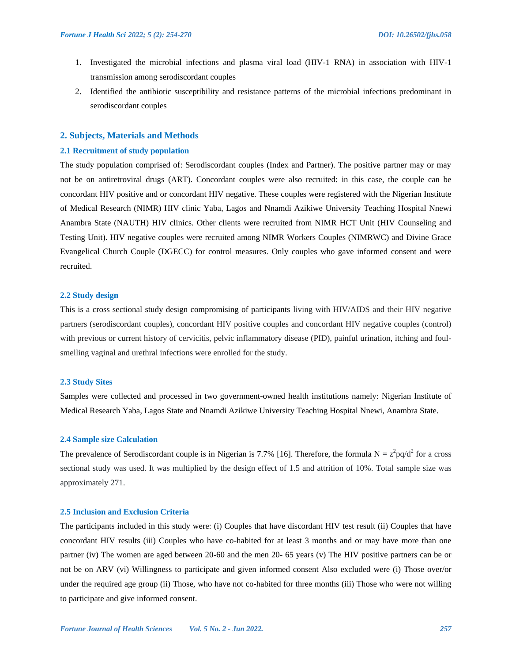- 1. Investigated the microbial infections and plasma viral load (HIV-1 RNA) in association with HIV-1 transmission among serodiscordant couples
- 2. Identified the antibiotic susceptibility and resistance patterns of the microbial infections predominant in serodiscordant couples

#### **2. Subjects, Materials and Methods**

# **2.1 Recruitment of study population**

The study population comprised of: Serodiscordant couples (Index and Partner). The positive partner may or may not be on antiretroviral drugs (ART). Concordant couples were also recruited: in this case, the couple can be concordant HIV positive and or concordant HIV negative. These couples were registered with the Nigerian Institute of Medical Research (NIMR) HIV clinic Yaba, Lagos and Nnamdi Azikiwe University Teaching Hospital Nnewi Anambra State (NAUTH) HIV clinics. Other clients were recruited from NIMR HCT Unit (HIV Counseling and Testing Unit). HIV negative couples were recruited among NIMR Workers Couples (NIMRWC) and Divine Grace Evangelical Church Couple (DGECC) for control measures. Only couples who gave informed consent and were recruited.

#### **2.2 Study design**

This is a cross sectional study design compromising of participants living with HIV/AIDS and their HIV negative partners (serodiscordant couples), concordant HIV positive couples and concordant HIV negative couples (control) with previous or current history of cervicitis, pelvic inflammatory disease (PID), painful urination, itching and foulsmelling vaginal and urethral infections were enrolled for the study.

#### **2.3 Study Sites**

Samples were collected and processed in two government-owned health institutions namely: Nigerian Institute of Medical Research Yaba, Lagos State and Nnamdi Azikiwe University Teaching Hospital Nnewi, Anambra State.

#### **2.4 Sample size Calculation**

The prevalence of Serodiscordant couple is in Nigerian is 7.7% [16]. Therefore, the formula  $N = z^2 pq/d^2$  for a cross sectional study was used. It was multiplied by the design effect of 1.5 and attrition of 10%. Total sample size was approximately 271.

#### **2.5 Inclusion and Exclusion Criteria**

The participants included in this study were: (i) Couples that have discordant HIV test result (ii) Couples that have concordant HIV results (iii) Couples who have co-habited for at least 3 months and or may have more than one partner (iv) The women are aged between 20-60 and the men 20- 65 years (v) The HIV positive partners can be or not be on ARV (vi) Willingness to participate and given informed consent Also excluded were (i) Those over/or under the required age group (ii) Those, who have not co-habited for three months (iii) Those who were not willing to participate and give informed consent.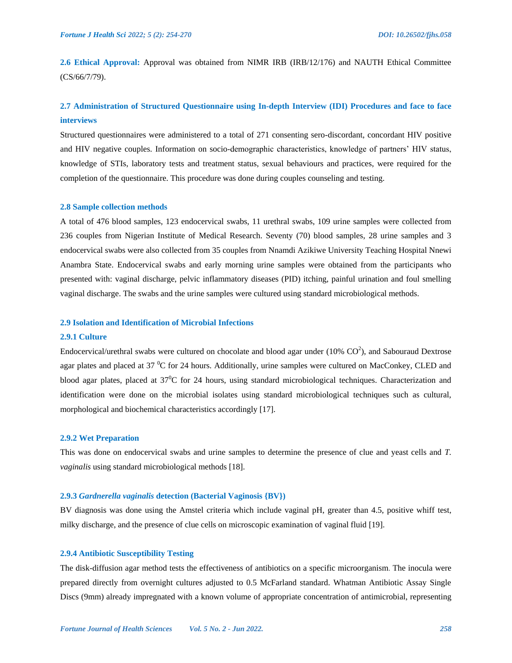**2.6 Ethical Approval:** Approval was obtained from NIMR IRB (IRB/12/176) and NAUTH Ethical Committee (CS/66/7/79).

# **2.7 Administration of Structured Questionnaire using In-depth Interview (IDI) Procedures and face to face interviews**

Structured questionnaires were administered to a total of 271 consenting sero-discordant, concordant HIV positive and HIV negative couples. Information on socio-demographic characteristics, knowledge of partners' HIV status, knowledge of STIs, laboratory tests and treatment status, sexual behaviours and practices, were required for the completion of the questionnaire. This procedure was done during couples counseling and testing.

#### **2.8 Sample collection methods**

A total of 476 blood samples, 123 endocervical swabs, 11 urethral swabs, 109 urine samples were collected from 236 couples from Nigerian Institute of Medical Research. Seventy (70) blood samples, 28 urine samples and 3 endocervical swabs were also collected from 35 couples from Nnamdi Azikiwe University Teaching Hospital Nnewi Anambra State. Endocervical swabs and early morning urine samples were obtained from the participants who presented with: vaginal discharge, pelvic inflammatory diseases (PID) itching, painful urination and foul smelling vaginal discharge. The swabs and the urine samples were cultured using standard microbiological methods.

#### **2.9 Isolation and Identification of Microbial Infections**

#### **2.9.1 Culture**

Endocervical/urethral swabs were cultured on chocolate and blood agar under (10%  $CO<sup>2</sup>$ ), and Sabouraud Dextrose agar plates and placed at 37 <sup>o</sup>C for 24 hours. Additionally, urine samples were cultured on MacConkey, CLED and blood agar plates, placed at  $37^{\circ}$ C for 24 hours, using standard microbiological techniques. Characterization and identification were done on the microbial isolates using standard microbiological techniques such as cultural, morphological and biochemical characteristics accordingly [17].

#### **2.9.2 Wet Preparation**

This was done on endocervical swabs and urine samples to determine the presence of clue and yeast cells and *T. vaginalis* using standard microbiological methods [18].

#### **2.9.3** *Gardnerella vaginalis* **detection (Bacterial Vaginosis {BV})**

BV diagnosis was done using the Amstel criteria which include vaginal pH, greater than 4.5, positive whiff test, milky discharge, and the presence of clue cells on microscopic examination of vaginal fluid [19].

#### **2.9.4 Antibiotic Susceptibility Testing**

The disk-diffusion agar method tests the effectiveness of antibiotics on a specific microorganism. The inocula were prepared directly from overnight cultures adjusted to 0.5 McFarland standard. Whatman Antibiotic Assay Single Discs (9mm) already impregnated with a known volume of appropriate concentration of antimicrobial, representing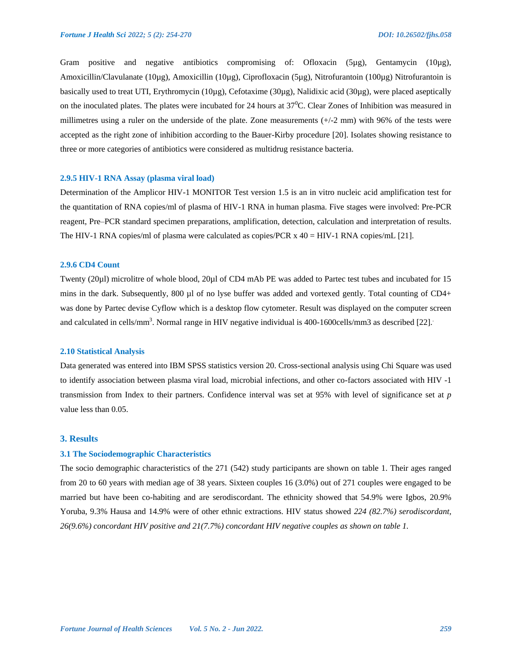Gram positive and negative antibiotics compromising of: Ofloxacin (5µg), Gentamycin (10µg), Amoxicillin/Clavulanate (10µg), Amoxicillin (10µg), Ciprofloxacin (5µg), Nitrofurantoin (100µg) Nitrofurantoin is basically used to treat UTI, Erythromycin (10µg), Cefotaxime (30µg), Nalidixic acid (30µg), were placed aseptically on the inoculated plates. The plates were incubated for 24 hours at 37<sup>0</sup>C. Clear Zones of Inhibition was measured in millimetres using a ruler on the underside of the plate. Zone measurements (+/-2 mm) with 96% of the tests were accepted as the right zone of inhibition according to the Bauer-Kirby procedure [20]. Isolates showing resistance to three or more categories of antibiotics were considered as multidrug resistance bacteria.

#### **2.9.5 HIV-1 RNA Assay (plasma viral load)**

Determination of the Amplicor HIV-1 MONITOR Test version 1.5 is an in vitro nucleic acid amplification test for the quantitation of RNA copies/ml of plasma of HIV-1 RNA in human plasma. Five stages were involved: Pre-PCR reagent, Pre–PCR standard specimen preparations, amplification, detection, calculation and interpretation of results. The HIV-1 RNA copies/ml of plasma were calculated as copies/PCR x 40 = HIV-1 RNA copies/mL [21].

#### **2.9.6 CD4 Count**

Twenty (20µl) microlitre of whole blood, 20µl of CD4 mAb PE was added to Partec test tubes and incubated for 15 mins in the dark. Subsequently, 800 µl of no lyse buffer was added and vortexed gently. Total counting of CD4+ was done by Partec devise Cyflow which is a desktop flow cytometer. Result was displayed on the computer screen and calculated in cells/mm<sup>3</sup>. Normal range in HIV negative individual is 400-1600cells/mm3 as described [22].

#### **2.10 Statistical Analysis**

Data generated was entered into IBM SPSS statistics version 20. Cross-sectional analysis using Chi Square was used to identify association between plasma viral load, microbial infections, and other co-factors associated with HIV -1 transmission from Index to their partners. Confidence interval was set at 95% with level of significance set at *p* value less than 0.05.

#### **3. Results**

#### **3.1 The Sociodemographic Characteristics**

The socio demographic characteristics of the 271 (542) study participants are shown on table 1. Their ages ranged from 20 to 60 years with median age of 38 years. Sixteen couples 16 (3.0%) out of 271 couples were engaged to be married but have been co-habiting and are serodiscordant. The ethnicity showed that 54.9% were Igbos, 20.9% Yoruba, 9.3% Hausa and 14.9% were of other ethnic extractions. HIV status showed *224 (82.7%) serodiscordant, 26(9.6%) concordant HIV positive and 21(7.7%) concordant HIV negative couples as shown on table 1.*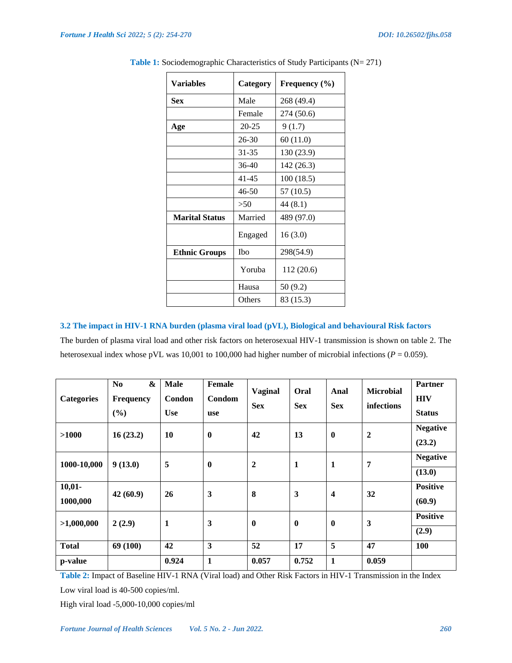| <b>Variables</b>      | Category  | Frequency $(\% )$ |
|-----------------------|-----------|-------------------|
| <b>Sex</b>            | Male      | 268 (49.4)        |
|                       | Female    | 274 (50.6)        |
| Age                   | $20 - 25$ | 9(1.7)            |
|                       | $26 - 30$ | 60(11.0)          |
|                       | 31-35     | 130 (23.9)        |
|                       | $36 - 40$ | 142 (26.3)        |
|                       | $41 - 45$ | 100(18.5)         |
|                       | $46 - 50$ | 57 (10.5)         |
|                       | >50       | 44(8.1)           |
| <b>Marital Status</b> | Married   | 489 (97.0)        |
|                       | Engaged   | 16(3.0)           |
| <b>Ethnic Groups</b>  | Ibo       | 298(54.9)         |
|                       | Yoruba    | 112 (20.6)        |
|                       | Hausa     | 50 (9.2)          |
|                       | Others    | 83 (15.3)         |

Table 1: Sociodemographic Characteristics of Study Participants (N= 271)

# **3.2 The impact in HIV-1 RNA burden (plasma viral load (pVL), Biological and behavioural Risk factors**

The burden of plasma viral load and other risk factors on heterosexual HIV-1 transmission is shown on table 2. The heterosexual index whose pVL was 10,001 to 100,000 had higher number of microbial infections ( $P = 0.059$ ).

| <b>Categories</b>       | N <sub>0</sub><br><b>Frequency</b><br>(%) | $\boldsymbol{\&}$<br><b>Male</b><br>Condon<br><b>Use</b> | <b>Female</b><br>Condom<br>use | <b>Vaginal</b><br><b>Sex</b> | Oral<br><b>Sex</b> | Anal<br><b>Sex</b>      | <b>Microbial</b><br>infections | <b>Partner</b><br><b>HIV</b><br><b>Status</b> |
|-------------------------|-------------------------------------------|----------------------------------------------------------|--------------------------------|------------------------------|--------------------|-------------------------|--------------------------------|-----------------------------------------------|
| >1000                   | 16(23.2)                                  | 10                                                       | $\mathbf{0}$                   | 42                           | 13                 | $\bf{0}$                | $\overline{2}$                 | <b>Negative</b><br>(23.2)                     |
| 1000-10,000             | 9(13.0)                                   | 5                                                        | $\boldsymbol{0}$               | $\overline{2}$               | 1                  | 1                       | 7                              | <b>Negative</b><br>(13.0)                     |
| $10,01-$<br>1000,000    | 42(60.9)                                  | 26                                                       | 3                              | 8                            | 3                  | $\overline{\mathbf{4}}$ | 32                             | <b>Positive</b><br>(60.9)                     |
| >1,000,000              | 2(2.9)                                    | 1                                                        | 3                              | $\mathbf{0}$                 | $\mathbf{0}$       | $\bf{0}$                | 3                              | <b>Positive</b><br>(2.9)                      |
| <b>Total</b><br>p-value | 69 (100)                                  | 42<br>0.924                                              | 3<br>$\mathbf{1}$              | 52<br>0.057                  | 17<br>0.752        | 5<br>$\mathbf{1}$       | 47<br>0.059                    | 100                                           |

**Table 2:** Impact of Baseline HIV-1 RNA (Viral load) and Other Risk Factors in HIV-1 Transmission in the Index

Low viral load is 40-500 copies/ml.

High viral load -5,000-10,000 copies/ml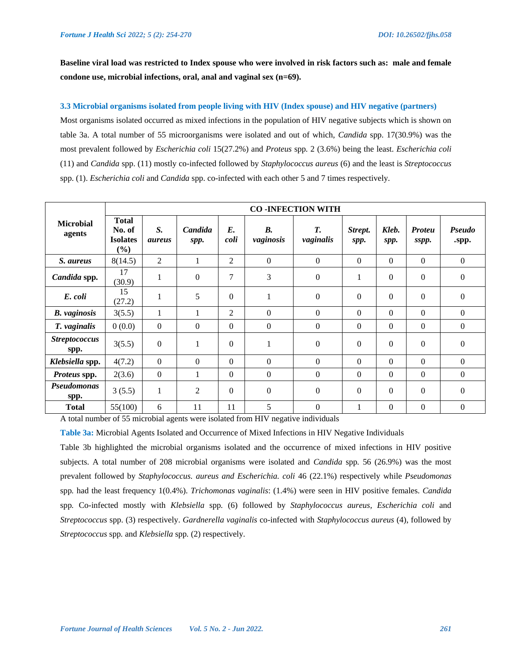**Baseline viral load was restricted to Index spouse who were involved in risk factors such as: male and female condone use, microbial infections, oral, anal and vaginal sex (n=69).**

# **3.3 Microbial organisms isolated from people living with HIV (Index spouse) and HIV negative (partners)**

Most organisms isolated occurred as mixed infections in the population of HIV negative subjects which is shown on table 3a. A total number of 55 microorganisms were isolated and out of which, *Candida* spp. 17(30.9%) was the most prevalent followed by *Escherichia coli* 15(27.2%) and *Proteus* spp*.* 2 (3.6%) being the least. *Escherichia coli*  (11) and *Candida* spp. (11) mostly co-infected followed by *Staphylococcus aureus* (6) and the least is *Streptococcus*  spp. (1). *Escherichia coli* and *Candida* spp. co-infected with each other 5 and 7 times respectively.

| <b>Microbial</b><br>agents   |                                                     |                     |                 |                     |                        | <b>CO-INFECTION WITH</b>                            |                  |                  |                        |                  |
|------------------------------|-----------------------------------------------------|---------------------|-----------------|---------------------|------------------------|-----------------------------------------------------|------------------|------------------|------------------------|------------------|
|                              | <b>Total</b><br>No. of<br><b>Isolates</b><br>$(\%)$ | S.<br><i>aureus</i> | Candida<br>spp. | $E_{\cdot}$<br>coli | <b>B.</b><br>vaginosis | Т.<br>vaginalis                                     | Strept.<br>spp.  | Kleb.<br>spp.    | <b>Proteu</b><br>sspp. | Pseudo<br>.spp.  |
| S. aureus                    | 8(14.5)                                             | 2                   | 1               | $\overline{2}$      | $\boldsymbol{0}$       | $\boldsymbol{0}$                                    | $\Omega$         | $\boldsymbol{0}$ | $\boldsymbol{0}$       | $\boldsymbol{0}$ |
| Candida spp.                 | 17<br>(30.9)                                        | 1                   | $\Omega$        | 7                   | 3                      | $\boldsymbol{0}$                                    | 1                | $\Omega$         | $\boldsymbol{0}$       | $\theta$         |
| E. coli                      | 15<br>(27.2)                                        | 1                   | 5               | $\Omega$            | 1                      | $\boldsymbol{0}$                                    | $\Omega$         | $\Omega$         | $\boldsymbol{0}$       | $\mathbf{0}$     |
| <b>B.</b> vaginosis          | 3(5.5)                                              | 1                   |                 | $\overline{2}$      | $\Omega$               | $\boldsymbol{0}$                                    | $\Omega$         | $\theta$         | $\Omega$               | $\theta$         |
| T. vaginalis                 | 0(0.0)                                              | $\Omega$            | $\theta$        | $\Omega$            | $\boldsymbol{0}$       | $\boldsymbol{0}$                                    | $\Omega$         | $\overline{0}$   | $\boldsymbol{0}$       | $\theta$         |
| <b>Streptococcus</b><br>spp. | 3(5.5)                                              | $\mathbf{0}$        | 1               | $\theta$            | 1                      | $\boldsymbol{0}$                                    | $\boldsymbol{0}$ | $\Omega$         | $\boldsymbol{0}$       | $\boldsymbol{0}$ |
| Klebsiella spp.              | 4(7.2)                                              | $\Omega$            | $\theta$        | $\Omega$            | $\theta$               | $\Omega$                                            | $\Omega$         | $\theta$         | $\Omega$               | $\theta$         |
| Proteus spp.                 | 2(3.6)                                              | $\Omega$            | 1               | $\Omega$            | $\Omega$               | $\Omega$                                            | $\Omega$         | $\theta$         | $\Omega$               | $\theta$         |
| Pseudomonas<br>spp.          | 3(5.5)                                              | 1                   | 2               | $\Omega$            | $\boldsymbol{0}$       | $\boldsymbol{0}$                                    | $\Omega$         | $\Omega$         | $\boldsymbol{0}$       | $\theta$         |
| <b>Total</b>                 | 55(100)                                             | 6                   | 11              | 11                  | 5                      | $\boldsymbol{0}$<br>$\cdot$ $\cdot$ $\cdot$ $\cdot$ | 1                | $\overline{0}$   | $\overline{0}$         | $\overline{0}$   |

A total number of 55 microbial agents were isolated from HIV negative individuals

**Table 3a:** Microbial Agents Isolated and Occurrence of Mixed Infections in HIV Negative Individuals

Table 3b highlighted the microbial organisms isolated and the occurrence of mixed infections in HIV positive subjects. A total number of 208 microbial organisms were isolated and *Candida* spp*.* 56 (26.9%) was the most prevalent followed by *Staphylococcus. aureus and Escherichia. coli* 46 (22.1%) respectively while *Pseudomonas*  spp*.* had the least frequency 1(0.4%). *Trichomonas vaginalis*: (1.4%) were seen in HIV positive females. *Candida*  spp*.* Co-infected mostly with *Klebsiella* spp*.* (6) followed by *Staphylococcus aureus, Escherichia coli* and *Streptococcus* spp. (3) respectively. *Gardnerella vaginalis* co-infected with *Staphylococcus aureus* (4), followed by *Streptococcus* spp*.* and *Klebsiella* spp*.* (2) respectively.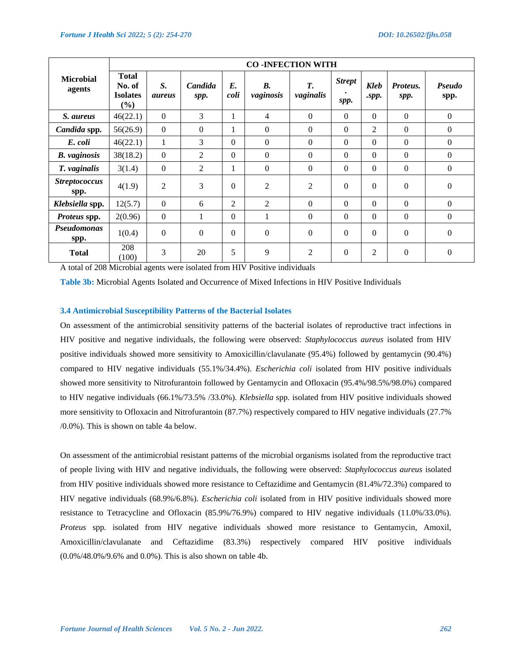|                              |                                                  |                     |                  |                | <b>CO-INFECTION WITH</b> |                 |                       |                           |                  |                  |
|------------------------------|--------------------------------------------------|---------------------|------------------|----------------|--------------------------|-----------------|-----------------------|---------------------------|------------------|------------------|
| <b>Microbial</b><br>agents   | <b>Total</b><br>No. of<br><b>Isolates</b><br>(%) | S.<br><i>aureus</i> | Candida<br>spp.  | E.<br>coli     | <b>B.</b><br>vaginosis   | T.<br>vaginalis | <b>Strept</b><br>spp. | Kleb<br>$.\mathbf{spp}.\$ | Proteus.<br>spp. | Pseudo<br>spp.   |
| S. aureus                    | 46(22.1)                                         | $\boldsymbol{0}$    | 3                | 1              | $\overline{4}$           | $\theta$        | $\overline{0}$        | $\Omega$                  | $\mathbf{0}$     | $\mathbf{0}$     |
| Candida spp.                 | 56(26.9)                                         | $\Omega$            | $\Omega$         | 1              | $\Omega$                 | $\theta$        | $\Omega$              | $\overline{2}$            | $\Omega$         | $\Omega$         |
| E. coli                      | 46(22.1)                                         | $\mathbf{1}$        | 3                | $\Omega$       | $\Omega$                 | $\Omega$        | $\Omega$              | $\Omega$                  | $\Omega$         | $\Omega$         |
| <b>B.</b> vaginosis          | 38(18.2)                                         | $\boldsymbol{0}$    | $\overline{2}$   | $\theta$       | $\boldsymbol{0}$         | $\theta$        | $\overline{0}$        | $\Omega$                  | $\Omega$         | $\Omega$         |
| T. vaginalis                 | 3(1.4)                                           | $\boldsymbol{0}$    | $\overline{2}$   | 1              | $\Omega$                 | $\theta$        | $\Omega$              | $\Omega$                  | $\theta$         | $\Omega$         |
| <b>Streptococcus</b><br>spp. | 4(1.9)                                           | $\overline{2}$      | 3                | $\Omega$       | $\overline{2}$           | 2               | $\theta$              | $\Omega$                  | $\Omega$         | $\mathbf{0}$     |
| Klebsiella spp.              | 12(5.7)                                          | $\theta$            | 6                | $\overline{2}$ | 2                        | $\theta$        | $\Omega$              | $\Omega$                  | $\Omega$         | $\Omega$         |
| Proteus spp.                 | 2(0.96)                                          | $\theta$            | 1                | $\Omega$       | 1                        | $\theta$        | $\Omega$              | $\Omega$                  | $\Omega$         | $\Omega$         |
| Pseudomonas<br>spp.          | 1(0.4)                                           | $\boldsymbol{0}$    | $\boldsymbol{0}$ | $\Omega$       | $\boldsymbol{0}$         | $\Omega$        | $\theta$              | $\theta$                  | $\theta$         | $\Omega$         |
| <b>Total</b>                 | 208<br>(100)                                     | 3                   | 20               | 5              | 9                        | 2               | $\theta$              | $\overline{2}$            | $\theta$         | $\boldsymbol{0}$ |

A total of 208 Microbial agents were isolated from HIV Positive individuals

**Table 3b:** Microbial Agents Isolated and Occurrence of Mixed Infections in HIV Positive Individuals

#### **3.4 Antimicrobial Susceptibility Patterns of the Bacterial Isolates**

On assessment of the antimicrobial sensitivity patterns of the bacterial isolates of reproductive tract infections in HIV positive and negative individuals, the following were observed: *Staphylococcus aureus* isolated from HIV positive individuals showed more sensitivity to Amoxicillin/clavulanate (95.4%) followed by gentamycin (90.4%) compared to HIV negative individuals (55.1%/34.4%). *Escherichia coli* isolated from HIV positive individuals showed more sensitivity to Nitrofurantoin followed by Gentamycin and Ofloxacin (95.4%/98.5%/98.0%) compared to HIV negative individuals (66.1%/73.5% /33.0%). *Klebsiella* spp. isolated from HIV positive individuals showed more sensitivity to Ofloxacin and Nitrofurantoin (87.7%) respectively compared to HIV negative individuals (27.7% /0.0%). This is shown on table 4a below.

On assessment of the antimicrobial resistant patterns of the microbial organisms isolated from the reproductive tract of people living with HIV and negative individuals, the following were observed: *Staphylococcus aureus* isolated from HIV positive individuals showed more resistance to Ceftazidime and Gentamycin (81.4%/72.3%) compared to HIV negative individuals (68.9%/6.8%). *Escherichia coli* isolated from in HIV positive individuals showed more resistance to Tetracycline and Ofloxacin (85.9%/76.9%) compared to HIV negative individuals (11.0%/33.0%). *Proteus* spp*.* isolated from HIV negative individuals showed more resistance to Gentamycin, Amoxil, Amoxicillin/clavulanate and Ceftazidime (83.3%) respectively compared HIV positive individuals (0.0%/48.0%/9.6% and 0.0%). This is also shown on table 4b.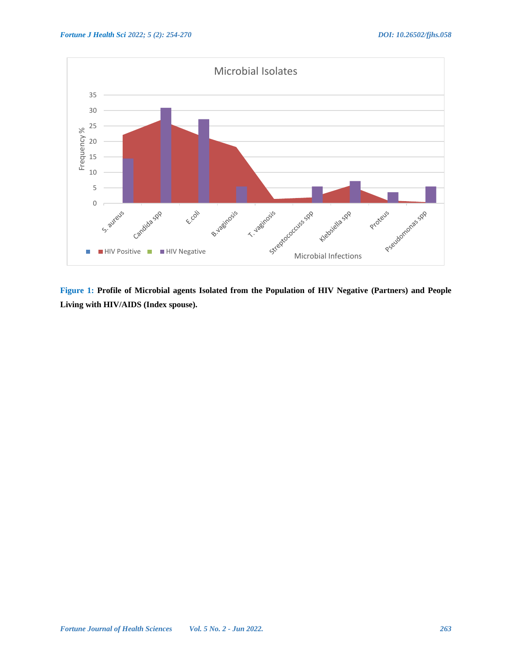

**Figure 1: Profile of Microbial agents Isolated from the Population of HIV Negative (Partners) and People Living with HIV/AIDS (Index spouse).**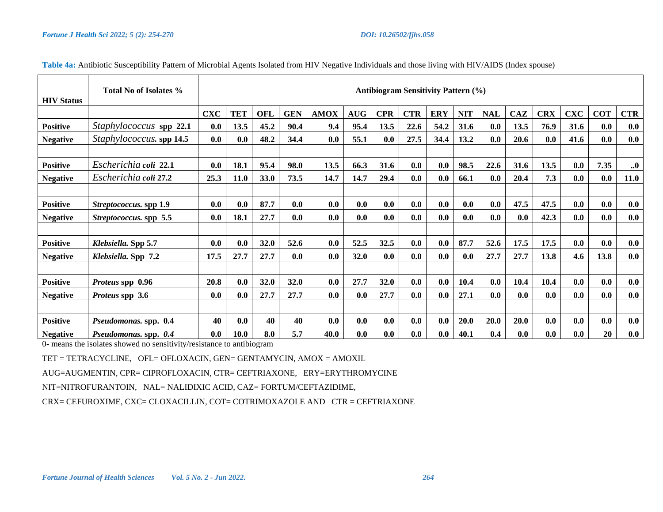| <b>HIV Status</b> | Total No of Isolates %   | <b>Antibiogram Sensitivity Pattern (%)</b> |            |            |            |             |            |            |            |            |            |            |      |            |            |            |             |
|-------------------|--------------------------|--------------------------------------------|------------|------------|------------|-------------|------------|------------|------------|------------|------------|------------|------|------------|------------|------------|-------------|
|                   |                          | <b>CXC</b>                                 | <b>TET</b> | <b>OFL</b> | <b>GEN</b> | <b>AMOX</b> | <b>AUG</b> | <b>CPR</b> | <b>CTR</b> | <b>ERY</b> | <b>NIT</b> | <b>NAL</b> | CAZ  | <b>CRX</b> | <b>CXC</b> | <b>COT</b> | <b>CTR</b>  |
| <b>Positive</b>   | Staphylococcus spp 22.1  | 0.0                                        | 13.5       | 45.2       | 90.4       | 9.4         | 95.4       | 13.5       | 22.6       | 54.2       | 31.6       | 0.0        | 13.5 | 76.9       | 31.6       | 0.0        | 0.0         |
| <b>Negative</b>   | Staphylococcus. spp 14.5 | 0.0                                        | 0.0        | 48.2       | 34.4       | 0.0         | 55.1       | 0.0        | 27.5       | 34.4       | 13.2       | 0.0        | 20.6 | 0.0        | 41.6       | 0.0        | 0.0         |
|                   |                          |                                            |            |            |            |             |            |            |            |            |            |            |      |            |            |            |             |
| <b>Positive</b>   | Escherichia coli 22.1    | 0.0                                        | 18.1       | 95.4       | 98.0       | 13.5        | 66.3       | 31.6       | 0.0        | 0.0        | 98.5       | 22.6       | 31.6 | 13.5       | 0.0        | 7.35       | $\ddotsc$   |
| <b>Negative</b>   | Escherichia coli 27.2    | 25.3                                       | 11.0       | 33.0       | 73.5       | 14.7        | 14.7       | 29.4       | 0.0        | 0.0        | 66.1       | 0.0        | 20.4 | 7.3        | 0.0        | 0.0        | <b>11.0</b> |
|                   |                          |                                            |            |            |            |             |            |            |            |            |            |            |      |            |            |            |             |
| <b>Positive</b>   | Streptococcus. spp 1.9   | 0.0                                        | 0.0        | 87.7       | 0.0        | 0.0         | 0.0        | 0.0        | 0.0        | 0.0        | 0.0        | 0.0        | 47.5 | 47.5       | 0.0        | 0.0        | 0.0         |
| <b>Negative</b>   | Streptococcus. spp 5.5   | 0.0                                        | 18.1       | 27.7       | 0.0        | 0.0         | 0.0        | 0.0        | 0.0        | 0.0        | 0.0        | 0.0        | 0.0  | 42.3       | 0.0        | 0.0        | 0.0         |
|                   |                          |                                            |            |            |            |             |            |            |            |            |            |            |      |            |            |            |             |
| <b>Positive</b>   | Klebsiella. Spp 5.7      | 0.0                                        | 0.0        | 32.0       | 52.6       | 0.0         | 52.5       | 32.5       | 0.0        | 0.0        | 87.7       | 52.6       | 17.5 | 17.5       | 0.0        | 0.0        | 0.0         |
| <b>Negative</b>   | Klebsiella. Spp 7.2      | 17.5                                       | 27.7       | 27.7       | 0.0        | 0.0         | 32.0       | 0.0        | 0.0        | 0.0        | 0.0        | 27.7       | 27.7 | 13.8       | 4.6        | 13.8       | 0.0         |
|                   |                          |                                            |            |            |            |             |            |            |            |            |            |            |      |            |            |            |             |
| <b>Positive</b>   | Proteus spp 0.96         | 20.8                                       | 0.0        | 32.0       | 32.0       | 0.0         | 27.7       | 32.0       | 0.0        | 0.0        | 10.4       | 0.0        | 10.4 | 10.4       | 0.0        | 0.0        | 0.0         |
| <b>Negative</b>   | <i>Proteus</i> spp 3.6   | 0.0                                        | 0.0        | 27.7       | 27.7       | 0.0         | 0.0        | 27.7       | 0.0        | 0.0        | 27.1       | 0.0        | 0.0  | 0.0        | 0.0        | 0.0        | 0.0         |
|                   |                          |                                            |            |            |            |             |            |            |            |            |            |            |      |            |            |            |             |
| <b>Positive</b>   | Pseudomonas. spp. 0.4    | 40                                         | 0.0        | 40         | 40         | 0.0         | 0.0        | 0.0        | 0.0        | 0.0        | 20.0       | 20.0       | 20.0 | 0.0        | 0.0        | 0.0        | 0.0         |
| <b>Negative</b>   | Pseudomonas. spp. 0.4    | 0.0                                        | 10.0       | 8.0        | 5.7        | 40.0        | 0.0        | 0.0        | 0.0        | 0.0        | 40.1       | 0.4        | 0.0  | 0.0        | 0.0        | 20         | 0.0         |

# **Table 4a:** Antibiotic Susceptibility Pattern of Microbial Agents Isolated from HIV Negative Individuals and those living with HIV/AIDS (Index spouse)

0- means the isolates showed no sensitivity/resistance to antibiogram

TET = TETRACYCLINE, OFL= OFLOXACIN, GEN= GENTAMYCIN, AMOX = AMOXIL

AUG=AUGMENTIN, CPR= CIPROFLOXACIN, CTR= CEFTRIAXONE, ERY=ERYTHROMYCINE

NIT=NITROFURANTOIN, NAL= NALIDIXIC ACID, CAZ= FORTUM/CEFTAZIDIME,

CRX= CEFUROXIME, CXC= CLOXACILLIN, COT= COTRIMOXAZOLE AND CTR = CEFTRIAXONE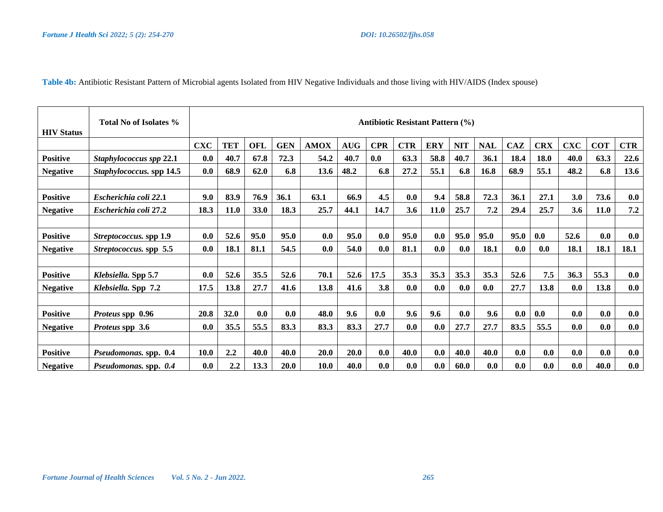**Table 4b:** Antibiotic Resistant Pattern of Microbial agents Isolated from HIV Negative Individuals and those living with HIV/AIDS (Index spouse)

| <b>HIV Status</b> | <b>Total No of Isolates %</b>   | <b>Antibiotic Resistant Pattern (%)</b> |             |            |            |             |             |            |            |            |            |            |            |            |            |            |            |
|-------------------|---------------------------------|-----------------------------------------|-------------|------------|------------|-------------|-------------|------------|------------|------------|------------|------------|------------|------------|------------|------------|------------|
|                   |                                 | <b>CXC</b>                              | <b>TET</b>  | <b>OFL</b> | <b>GEN</b> | <b>AMOX</b> | <b>AUG</b>  | <b>CPR</b> | <b>CTR</b> | <b>ERY</b> | <b>NIT</b> | <b>NAL</b> | <b>CAZ</b> | <b>CRX</b> | <b>CXC</b> | <b>COT</b> | <b>CTR</b> |
| <b>Positive</b>   | Staphylococcus spp 22.1         | 0.0                                     | 40.7        | 67.8       | 72.3       | 54.2        | 40.7        | 0.0        | 63.3       | 58.8       | 40.7       | 36.1       | 18.4       | 18.0       | 40.0       | 63.3       | 22.6       |
| <b>Negative</b>   | <i>Staphylococcus.</i> spp 14.5 | 0.0                                     | 68.9        | 62.0       | 6.8        | 13.6        | 48.2        | 6.8        | 27.2       | 55.1       | 6.8        | 16.8       | 68.9       | 55.1       | 48.2       | 6.8        | 13.6       |
|                   |                                 |                                         |             |            |            |             |             |            |            |            |            |            |            |            |            |            |            |
| <b>Positive</b>   | Escherichia coli 22.1           | 9.0                                     | 83.9        | 76.9       | 36.1       | 63.1        | 66.9        | 4.5        | 0.0        | 9.4        | 58.8       | 72.3       | 36.1       | 27.1       | 3.0        | 73.6       | 0.0        |
| <b>Negative</b>   | Escherichia coli 27.2           | 18.3                                    | <b>11.0</b> | 33.0       | 18.3       | 25.7        | 44.1        | 14.7       | 3.6        | 11.0       | 25.7       | 7.2        | 29.4       | 25.7       | 3.6        | 11.0       | 7.2        |
|                   |                                 |                                         |             |            |            |             |             |            |            |            |            |            |            |            |            |            |            |
| <b>Positive</b>   | Streptococcus. spp 1.9          | 0.0                                     | 52.6        | 95.0       | 95.0       | 0.0         | 95.0        | 0.0        | 95.0       | 0.0        | 95.0       | 95.0       | 95.0       | 0.0        | 52.6       | 0.0        | 0.0        |
| <b>Negative</b>   | Streptococcus. spp 5.5          | 0.0                                     | 18.1        | 81.1       | 54.5       | 0.0         | 54.0        | 0.0        | 81.1       | 0.0        | 0.0        | 18.1       | 0.0        | 0.0        | 18.1       | 18.1       | 18.1       |
|                   |                                 |                                         |             |            |            |             |             |            |            |            |            |            |            |            |            |            |            |
| <b>Positive</b>   | Klebsiella. Spp 5.7             | 0.0                                     | 52.6        | 35.5       | 52.6       | 70.1        | 52.6        | 17.5       | 35.3       | 35.3       | 35.3       | 35.3       | 52.6       | 7.5        | 36.3       | 55.3       | 0.0        |
| <b>Negative</b>   | Klebsiella. Spp 7.2             | 17.5                                    | 13.8        | 27.7       | 41.6       | 13.8        | 41.6        | 3.8        | 0.0        | 0.0        | 0.0        | 0.0        | 27.7       | 13.8       | 0.0        | 13.8       | 0.0        |
|                   |                                 |                                         |             |            |            |             |             |            |            |            |            |            |            |            |            |            |            |
| <b>Positive</b>   | Proteus spp 0.96                | 20.8                                    | 32.0        | 0.0        | 0.0        | 48.0        | 9.6         | 0.0        | 9.6        | 9.6        | 0.0        | 9.6        | 0.0        | 0.0        | 0.0        | 0.0        | 0.0        |
| <b>Negative</b>   | <i>Proteus</i> spp 3.6          | 0.0                                     | 35.5        | 55.5       | 83.3       | 83.3        | 83.3        | 27.7       | 0.0        | 0.0        | 27.7       | 27.7       | 83.5       | 55.5       | 0.0        | 0.0        | 0.0        |
|                   |                                 |                                         |             |            |            |             |             |            |            |            |            |            |            |            |            |            |            |
| <b>Positive</b>   | Pseudomonas. spp. 0.4           | <b>10.0</b>                             | 2.2         | 40.0       | 40.0       | 20.0        | <b>20.0</b> | 0.0        | 40.0       | 0.0        | 40.0       | 40.0       | 0.0        | 0.0        | 0.0        | 0.0        | 0.0        |
| <b>Negative</b>   | Pseudomonas. spp. 0.4           | 0.0                                     | 2.2         | 13.3       | 20.0       | 10.0        | 40.0        | 0.0        | 0.0        | 0.0        | 60.0       | 0.0        | 0.0        | 0.0        | 0.0        | 40.0       | 0.0        |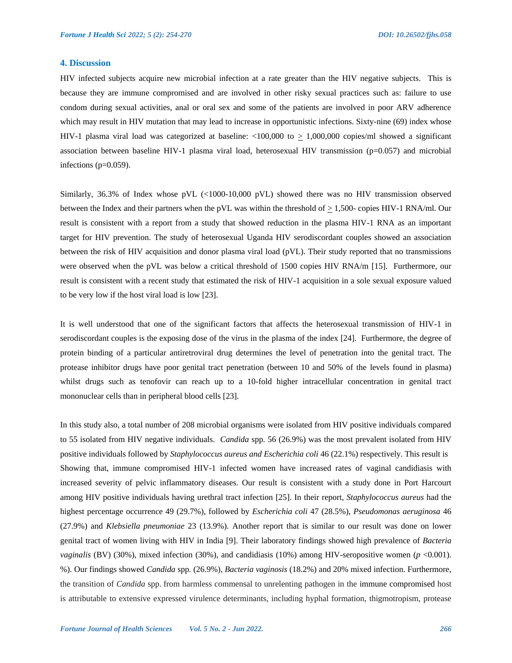# **4. Discussion**

HIV infected subjects acquire new microbial infection at a rate greater than the HIV negative subjects. This is because they are immune compromised and are involved in other risky sexual practices such as: failure to use condom during sexual activities, anal or oral sex and some of the patients are involved in poor ARV adherence which may result in HIV mutation that may lead to increase in opportunistic infections. Sixty-nine (69) index whose HIV-1 plasma viral load was categorized at baseline:  $\langle 100,000 \rangle$  to  $\geq 1,000,000$  copies/ml showed a significant association between baseline HIV-1 plasma viral load, heterosexual HIV transmission (p=0.057) and microbial infections (p=0.059).

Similarly, 36.3% of Index whose pVL (<1000-10,000 pVL) showed there was no HIV transmission observed between the Index and their partners when the pVL was within the threshold of  $\geq 1,500$ - copies HIV-1 RNA/ml. Our result is consistent with a report from a study that showed reduction in the plasma HIV-1 RNA as an important target for HIV prevention. The study of heterosexual Uganda HIV serodiscordant couples showed an association between the risk of HIV acquisition and donor plasma viral load (pVL). Their study reported that no transmissions were observed when the pVL was below a critical threshold of 1500 copies HIV RNA/m [15]. Furthermore, our result is consistent with a recent study that estimated the risk of HIV-1 acquisition in a sole sexual exposure valued to be very low if the host viral load is low [23].

It is well understood that one of the significant factors that affects the heterosexual transmission of HIV-1 in serodiscordant couples is the exposing dose of the virus in the plasma of the index [24]. Furthermore, the degree of protein binding of a particular antiretroviral drug determines the level of penetration into the genital tract. The protease inhibitor drugs have poor genital tract penetration (between 10 and 50% of the levels found in plasma) whilst drugs such as tenofovir can reach up to a 10-fold higher intracellular concentration in genital tract mononuclear cells than in peripheral blood cells [23].

In this study also, a total number of 208 microbial organisms were isolated from HIV positive individuals compared to 55 isolated from HIV negative individuals. *Candida* spp*.* 56 (26.9%) was the most prevalent isolated from HIV positive individuals followed by *Staphylococcus aureus and Escherichia coli* 46 (22.1%) respectively. This result is Showing that, immune compromised HIV-1 infected women have increased rates of vaginal candidiasis with increased severity of pelvic inflammatory diseases. Our result is consistent with a study done in Port Harcourt among HIV positive individuals having urethral tract infection [25]. In their report, *Staphylococcus aureus* had the highest percentage occurrence 49 (29.7%), followed by *Escherichia coli* 47 (28.5%), *Pseudomonas aeruginosa* 46 (27.9%) and *Klebsiella pneumoniae* 23 (13.9%). Another report that is similar to our result was done on lower genital tract of women living with HIV in India [9]. Their laboratory findings showed high prevalence of *Bacteria vaginalis* (BV) (30%), mixed infection (30%), and candidiasis (10%) among HIV-seropositive women (*p* <0.001). %). Our findings showed *Candida* spp*.* (26.9%), *Bacteria vaginosis* (18.2%) and 20% mixed infection. Furthermore, the transition of *Candida* spp. from harmless commensal to unrelenting pathogen in the immune compromised host is attributable to extensive expressed virulence determinants, including hyphal formation, thigmotropism, protease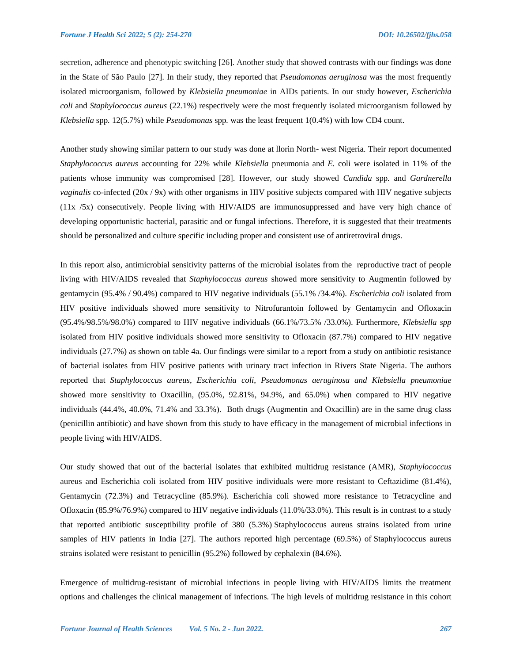secretion, adherence and phenotypic switching [26]. Another study that showed contrasts with our findings was done in the State of São Paulo [27]. In their study, they reported that *Pseudomonas aeruginosa* was the most frequently isolated microorganism, followed by *Klebsiella pneumoniae* in AIDs patients. In our study however, *Escherichia coli* and *Staphylococcus aureus* (22.1%) respectively were the most frequently isolated microorganism followed by *Klebsiella* spp*.* 12(5.7%) while *Pseudomonas* spp*.* was the least frequent 1(0.4%) with low CD4 count.

Another study showing similar pattern to our study was done at llorin North- west Nigeria. Their report documented *Staphylococcus aureus* accounting for 22% while *Klebsiella* pneumonia and *E.* coli were isolated in 11% of the patients whose immunity was compromised [28]. However, our study showed *Candida* spp*.* and *Gardnerella vaginalis* co-infected (20x / 9x) with other organisms in HIV positive subjects compared with HIV negative subjects (11x /5x) consecutively. People living with HIV/AIDS are immunosuppressed and have very high chance of developing opportunistic bacterial, parasitic and or fungal infections. Therefore, it is suggested that their treatments should be personalized and culture specific including proper and consistent use of antiretroviral drugs.

In this report also, antimicrobial sensitivity patterns of the microbial isolates from the reproductive tract of people living with HIV/AIDS revealed that *Staphylococcus aureus* showed more sensitivity to Augmentin followed by gentamycin (95.4% / 90.4%) compared to HIV negative individuals (55.1% /34.4%). *Escherichia coli* isolated from HIV positive individuals showed more sensitivity to Nitrofurantoin followed by Gentamycin and Ofloxacin (95.4%/98.5%/98.0%) compared to HIV negative individuals (66.1%/73.5% /33.0%). Furthermore, *Klebsiella spp*  isolated from HIV positive individuals showed more sensitivity to Ofloxacin (87.7%) compared to HIV negative individuals (27.7%) as shown on table 4a. Our findings were similar to a report from a study on antibiotic resistance of bacterial isolates from HIV positive patients with urinary tract infection in Rivers State Nigeria. The authors reported that *Staphylococcus aureus*, *Escherichia coli*, *Pseudomonas aeruginosa and Klebsiella pneumoniae*  showed more sensitivity to Oxacillin, (95.0%, 92.81%, 94.9%, and 65.0%) when compared to HIV negative individuals (44.4%, 40.0%, 71.4% and 33.3%). Both drugs (Augmentin and Oxacillin) are in the same drug class (penicillin antibiotic) and have shown from this study to have efficacy in the management of microbial infections in people living with HIV/AIDS.

Our study showed that out of the bacterial isolates that exhibited multidrug resistance (AMR), *Staphylococcus*  aureus and Escherichia coli isolated from HIV positive individuals were more resistant to Ceftazidime (81.4%), Gentamycin (72.3%) and Tetracycline (85.9%). Escherichia coli showed more resistance to Tetracycline and Ofloxacin (85.9%/76.9%) compared to HIV negative individuals (11.0%/33.0%). This result is in contrast to a study that reported antibiotic susceptibility profile of 380 (5.3%) Staphylococcus aureus strains isolated from urine samples of HIV patients in India [27]. The authors reported high percentage (69.5%) of Staphylococcus aureus strains isolated were resistant to penicillin (95.2%) followed by cephalexin (84.6%).

Emergence of multidrug-resistant of microbial infections in people living with HIV/AIDS limits the treatment options and challenges the clinical management of infections. The high levels of multidrug resistance in this cohort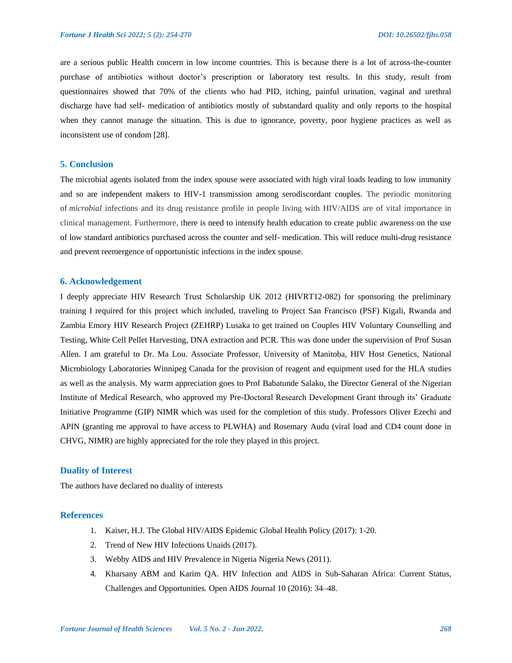are a serious public Health concern in low income countries. This is because there is a lot of across-the-counter purchase of antibiotics without doctor's prescription or laboratory test results. In this study, result from questionnaires showed that 70% of the clients who had PID, itching, painful urination, vaginal and urethral discharge have had self- medication of antibiotics mostly of substandard quality and only reports to the hospital when they cannot manage the situation. This is due to ignorance, poverty, poor hygiene practices as well as inconsistent use of condom [28].

### **5. Conclusion**

The microbial agents isolated from the index spouse were associated with high viral loads leading to low immunity and so are independent makers to HIV-1 transmission among serodiscordant couples. The periodic monitoring of *microbial* infections and its drug resistance profile in people living with HIV/AIDS are of vital importance in clinical management. Furthermore, there is need to intensify health education to create public awareness on the use of low standard antibiotics purchased across the counter and self- medication. This will reduce multi-drug resistance and prevent reemergence of opportunistic infections in the index spouse.

### **6. Acknowledgement**

I deeply appreciate HIV Research Trust Scholarship UK 2012 (HIVRT12-082) for sponsoring the preliminary training I required for this project which included, traveling to Project San Francisco (PSF) Kigali, Rwanda and Zambia Emory HIV Research Project (ZEHRP) Lusaka to get trained on Couples HIV Voluntary Counselling and Testing, White Cell Pellet Harvesting, DNA extraction and PCR. This was done under the supervision of Prof Susan Allen. I am grateful to Dr. Ma Lou. Associate Professor, University of Manitoba, HIV Host Genetics, National Microbiology Laboratories Winnipeg Canada for the provision of reagent and equipment used for the HLA studies as well as the analysis. My warm appreciation goes to Prof Babatunde Salako, the Director General of the Nigerian Institute of Medical Research, who approved my Pre-Doctoral Research Development Grant through its' Graduate Initiative Programme (GIP) NIMR which was used for the completion of this study. Professors Oliver Ezechi and APIN (granting me approval to have access to PLWHA) and Rosemary Audu (viral load and CD4 count done in CHVG, NIMR) are highly appreciated for the role they played in this project.

# **Duality of Interest**

The authors have declared no duality of interests

# **References**

- 1. Kaiser, H.J. The Global HIV/AIDS Epidemi[c Global Health Policy](https://www.kff.org/global-health-policy/) (2017): 1-20.
- 2. Trend of New HIV Infections Unaids (2017).
- 3. Webby AIDS and HIV Prevalence in Nigeria Nigeria News (2011).
- 4. Kharsany ABM and Karim QA. HIV Infection and AIDS in Sub-Saharan Africa: Current Status, Challenges and Opportunities. Open AIDS Journal 10 (2016): 34–48.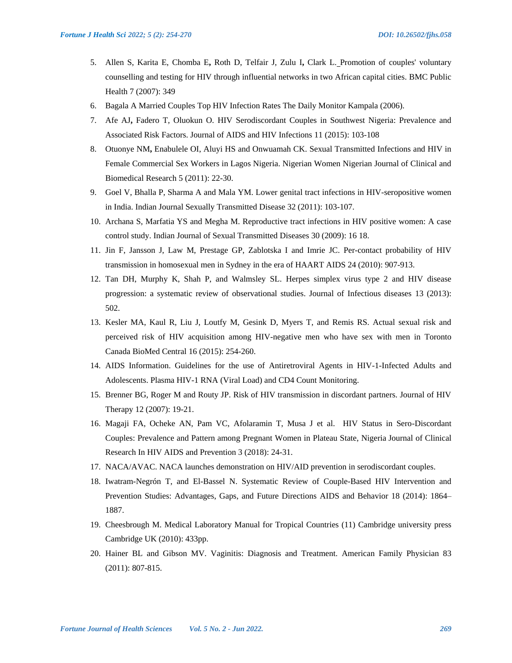- 5. Allen S, Karita E, Chomba E**,** Roth D, Telfair J, Zulu I**,** Clark L. Promotion of couples' voluntary counselling and testing for HIV through influential networks in two African capital cities. BMC Public Health 7 (2007): 349
- 6. Bagala A Married Couples Top HIV Infection Rates The Daily Monitor Kampala (2006).
- 7. Afe AJ**,** Fadero T, Oluokun O. HIV Serodiscordant Couples in Southwest Nigeria: Prevalence and Associated Risk Factors. Journal of AIDS and HIV Infections 11 (2015): 103-108
- 8. Otuonye NM**,** Enabulele OI, Aluyi HS and Onwuamah CK. Sexual Transmitted Infections and HIV in Female Commercial Sex Workers in Lagos Nigeria. Nigerian Women Nigerian Journal of Clinical and Biomedical Research 5 (2011): 22-30.
- 9. Goel V, Bhalla P, Sharma A and Mala YM. Lower genital tract infections in HIV-seropositive women in India. Indian Journal Sexually Transmitted Disease 32 (2011): 103-107.
- 10. Archana S, Marfatia YS and Megha M. Reproductive tract infections in HIV positive women: A case control study. Indian Journal of Sexual Transmitted Diseases 30 (2009): 16 18.
- 11. Jin F, Jansson J, Law M, Prestage GP, Zablotska I and Imrie JC. Per-contact probability of HIV transmission in homosexual men in Sydney in the era of HAART AIDS 24 (2010): 907-913.
- 12. Tan DH, Murphy K, Shah P, and Walmsley SL. Herpes simplex virus type 2 and HIV disease progression: a systematic review of observational studies. Journal of Infectious diseases 13 (2013): 502.
- 13. Kesler MA, Kaul R, Liu J, Loutfy M, Gesink D, Myers T, and Remis RS. Actual sexual risk and perceived risk of HIV acquisition among HIV-negative men who have sex with men in Toronto Canada BioMed Central 16 (2015): 254-260.
- 14. AIDS Information. Guidelines for the use of Antiretroviral Agents in HIV-1-Infected Adults and Adolescents. Plasma HIV-1 RNA (Viral Load) and CD4 Count Monitoring.
- 15. Brenner BG, Roger M and Routy JP. Risk of HIV transmission in discordant partners. Journal of HIV Therapy 12 (2007): 19-21.
- 16. Magaji FA, Ocheke AN, Pam VC, Afolaramin T, Musa J et al. HIV Status in Sero-Discordant Couples: Prevalence and Pattern among Pregnant Women in Plateau State, Nigeria Journal of Clinical Research In HIV AIDS and Prevention 3 (2018): 24-31.
- 17. NACA/AVAC. NACA launches demonstration on HIV/AID prevention in serodiscordant couples.
- 18. Iwatram-Negrón T, and El-Bassel N. Systematic Review of Couple-Based HIV Intervention and Prevention Studies: Advantages, Gaps, and Future Directions AIDS and Behavior 18 (2014): 1864– 1887.
- 19. Cheesbrough M. Medical Laboratory Manual for Tropical Countries (11) Cambridge university press Cambridge UK (2010): 433pp.
- 20. Hainer BL and Gibson MV. Vaginitis: Diagnosis and Treatment. American Family Physician 83 (2011): 807-815.